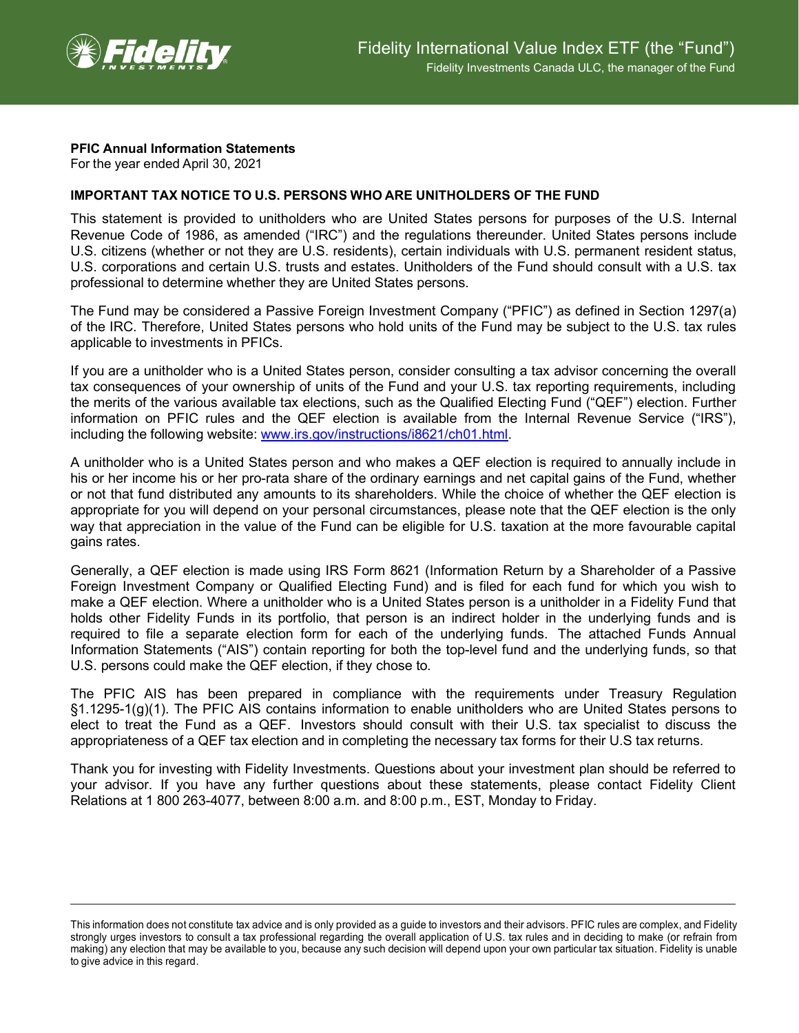

## **PFIC Annual Information Statements**

For the year ended April 30, 2021

## **IMPORTANT TAX NOTICE TO U.S. PERSONS WHO ARE UNITHOLDERS OF THE FUND**

This statement is provided to unitholders who are United States persons for purposes of the U.S. Internal Revenue Code of 1986, as amended ("IRC") and the regulations thereunder. United States persons include U.S. citizens (whether or not they are U.S. residents), certain individuals with U.S. permanent resident status, U.S. corporations and certain U.S. trusts and estates. Unitholders of the Fund should consult with a U.S. tax professional to determine whether they are United States persons.

The Fund may be considered a Passive Foreign Investment Company ("PFIC") as defined in Section 1297(a) of the IRC. Therefore, United States persons who hold units of the Fund may be subject to the U.S. tax rules applicable to investments in PFICs.

If you are a unitholder who is a United States person, consider consulting a tax advisor concerning the overall tax consequences of your ownership of units of the Fund and your U.S. tax reporting requirements, including the merits of the various available tax elections, such as the Qualified Electing Fund ("QEF") election. Further information on PFIC rules and the QEF election is available from the Internal Revenue Service ("IRS"), including the following website: [www.irs.gov/instructions/i8621/ch01.html.](http://www.irs.gov/instructions/i8621/ch01.html)

A unitholder who is a United States person and who makes a QEF election is required to annually include in his or her income his or her pro-rata share of the ordinary earnings and net capital gains of the Fund, whether or not that fund distributed any amounts to its shareholders. While the choice of whether the QEF election is appropriate for you will depend on your personal circumstances, please note that the QEF election is the only way that appreciation in the value of the Fund can be eligible for U.S. taxation at the more favourable capital gains rates.

Generally, a QEF election is made using IRS Form 8621 (Information Return by a Shareholder of a Passive Foreign Investment Company or Qualified Electing Fund) and is filed for each fund for which you wish to make a QEF election. Where a unitholder who is a United States person is a unitholder in a Fidelity Fund that holds other Fidelity Funds in its portfolio, that person is an indirect holder in the underlying funds and is required to file a separate election form for each of the underlying funds. The attached Funds Annual Information Statements ("AIS") contain reporting for both the top-level fund and the underlying funds, so that U.S. persons could make the QEF election, if they chose to.

The PFIC AIS has been prepared in compliance with the requirements under Treasury Regulation §1.1295-1(g)(1). The PFIC AIS contains information to enable unitholders who are United States persons to elect to treat the Fund as a QEF. Investors should consult with their U.S. tax specialist to discuss the appropriateness of a QEF tax election and in completing the necessary tax forms for their U.S tax returns.

Thank you for investing with Fidelity Investments. Questions about your investment plan should be referred to your advisor. If you have any further questions about these statements, please contact Fidelity Client Relations at 1 800 263-4077, between 8:00 a.m. and 8:00 p.m., EST, Monday to Friday.

This information does not constitute tax advice and is only provided as a guide to investors and their advisors. PFIC rules are complex, and Fidelity strongly urges investors to consult a tax professional regarding the overall application of U.S. tax rules and in deciding to make (or refrain from making) any election that may be available to you, because any such decision will depend upon your own particular tax situation. Fidelity is unable to give advice in this regard.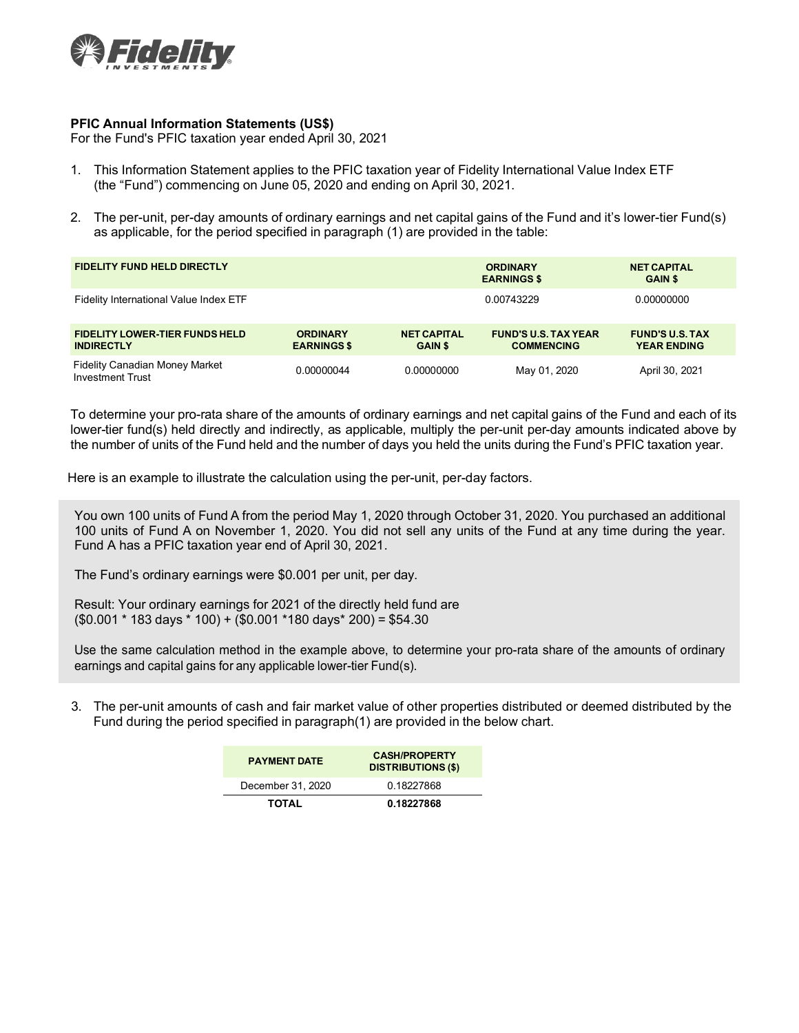

## **PFIC Annual Information Statements (US\$)**

For the Fund's PFIC taxation year ended April 30, 2021

- 1. This Information Statement applies to the PFIC taxation year of Fidelity International Value Index ETF (the "Fund") commencing on June 05, 2020 and ending on April 30, 2021.
- 2. The per-unit, per-day amounts of ordinary earnings and net capital gains of the Fund and it's lower-tier Fund(s) as applicable, for the period specified in paragraph (1) are provided in the table:

| <b>FIDELITY FUND HELD DIRECTLY</b>                               |                                       |                                      | <b>ORDINARY</b><br><b>EARNINGS \$</b>            | <b>NET CAPITAL</b><br><b>GAIN \$</b>         |  |
|------------------------------------------------------------------|---------------------------------------|--------------------------------------|--------------------------------------------------|----------------------------------------------|--|
| Fidelity International Value Index ETF                           |                                       |                                      | 0.00743229                                       | 0.00000000                                   |  |
| <b>FIDELITY LOWER-TIER FUNDS HELD</b><br><b>INDIRECTLY</b>       | <b>ORDINARY</b><br><b>EARNINGS \$</b> | <b>NET CAPITAL</b><br><b>GAIN \$</b> | <b>FUND'S U.S. TAX YEAR</b><br><b>COMMENCING</b> | <b>FUND'S U.S. TAX</b><br><b>YEAR ENDING</b> |  |
| <b>Fidelity Canadian Money Market</b><br><b>Investment Trust</b> | 0.00000044                            | 0.00000000                           | May 01, 2020                                     | April 30, 2021                               |  |

To determine your pro-rata share of the amounts of ordinary earnings and net capital gains of the Fund and each of its lower-tier fund(s) held directly and indirectly, as applicable, multiply the per-unit per-day amounts indicated above by the number of units of the Fund held and the number of days you held the units during the Fund's PFIC taxation year.

Here is an example to illustrate the calculation using the per-unit, per-day factors.

You own 100 units of Fund A from the period May 1, 2020 through October 31, 2020. You purchased an additional 100 units of Fund A on November 1, 2020. You did not sell any units of the Fund at any time during the year. Fund A has a PFIC taxation year end of April 30, 2021.

The Fund's ordinary earnings were \$0.001 per unit, per day.

Result: Your ordinary earnings for 2021 of the directly held fund are (\$0.001 \* 183 days \* 100) + (\$0.001 \*180 days\* 200) = \$54.30

Use the same calculation method in the example above, to determine your pro-rata share of the amounts of ordinary earnings and capital gains for any applicable lower-tier Fund(s).

3. The per-unit amounts of cash and fair market value of other properties distributed or deemed distributed by the Fund during the period specified in paragraph(1) are provided in the below chart.

| <b>PAYMENT DATE</b> | <b>CASH/PROPERTY</b><br><b>DISTRIBUTIONS (\$)</b> |  |  |
|---------------------|---------------------------------------------------|--|--|
| December 31, 2020   | 0.18227868                                        |  |  |
| <b>TOTAL</b>        | 0.18227868                                        |  |  |